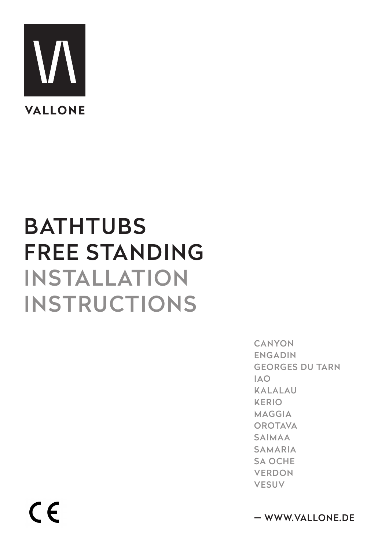

### **BATHTUBS FREE STANDING INSTALLATION INSTRUCTIONS**

**CANYON ENGADIN GEORGES DU TARN IAO KALALAU KERIO MAGGIA OROTAVA SAIMAA SAMARIA SA OCHE VERDON VESUV** 

 $C \in$ 

- WWW.VALLONE.DE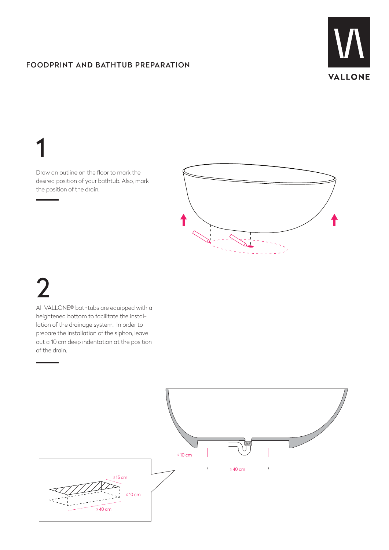

### 1

Draw an outline on the floor to mark the desired position of your bathtub. Also, mark the position of the drain.



# 2

All VALLONE® bathtubs are equipped with a heightened bottom to facilitate the installation of the drainage system. In order to prepare the installation of the siphon, leave out a 10 cm deep indentation at the position of the drain.

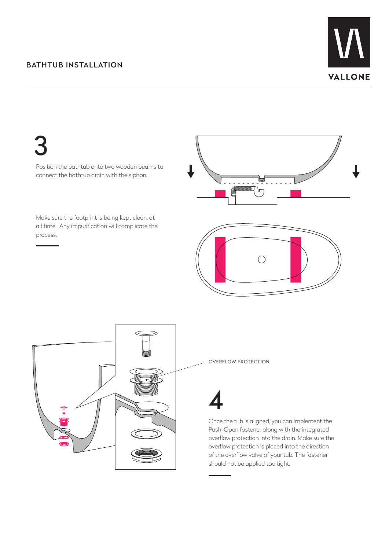#### BATHTUB INSTALLATION



3

Position the bathtub onto two wooden beams to connect the bathtub drain with the siphon.

Make sure the footprint is being kept clean, at all time. Any impurification will complicate the process.





OVERFLOW PROTECTION

Once the tub is aligned, you can implement the Push-Open fastener along with the integrated overflow protection into the drain. Make sure the overflow protection is placed into the direction of the overflow valve of your tub. The fastener should not be applied too tight.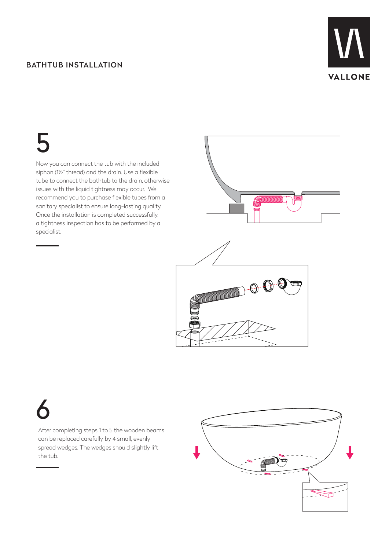#### BATHTUB INSTALLATION



5

Now you can connect the tub with the included siphon (1½" thread) and the drain. Use a flexible tube to connect the bathtub to the drain, otherwise issues with the liquid tightness may occur. We recommend you to purchase flexible tubes from a sanitary specialist to ensure long-lasting quality. Once the installation is completed successfully, a tightness inspection has to be performed by a specialist.





6

After completing steps 1 to 5 the wooden beams can be replaced carefully by 4 small, evenly spread wedges. The wedges should slightly lift the tub.